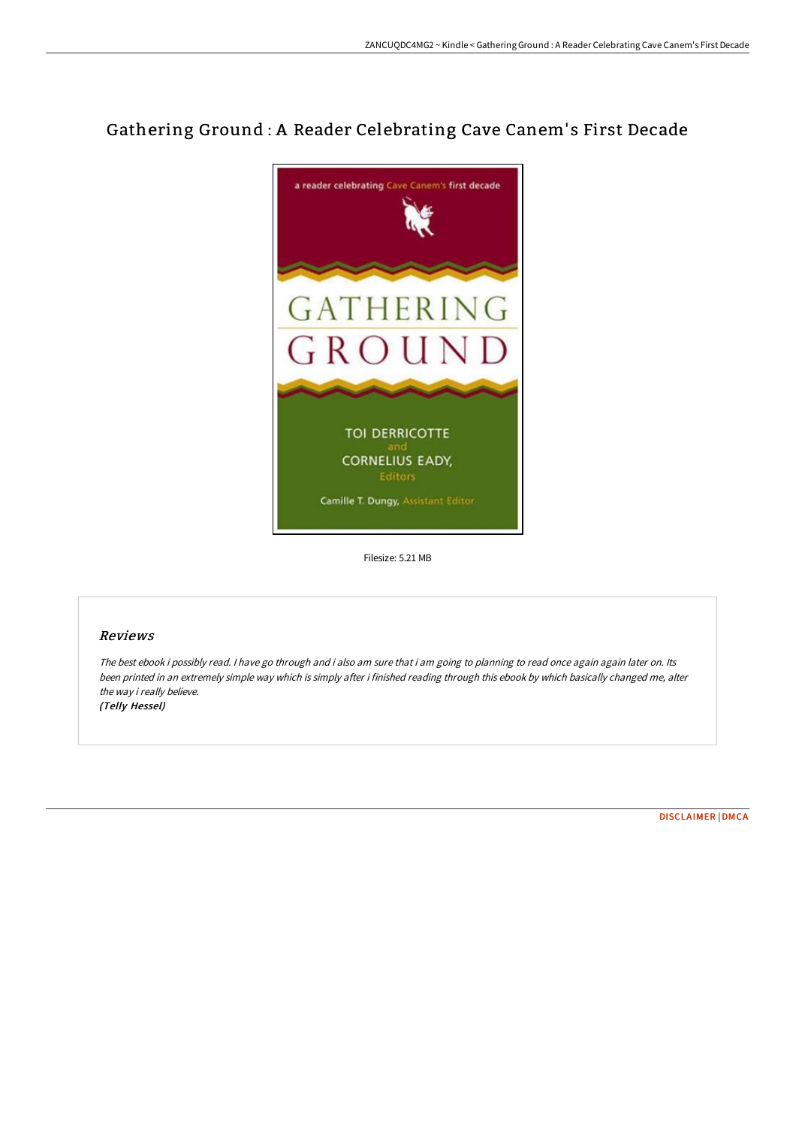# Gathering Ground : A Reader Celebrating Cave Canem's First Decade



Filesize: 5.21 MB

### Reviews

The best ebook i possibly read. I have go through and i also am sure that i am going to planning to read once again again later on. Its been printed in an extremely simple way which is simply after i finished reading through this ebook by which basically changed me, alter the way i really believe. (Telly Hessel)

[DISCLAIMER](http://bookera.tech/disclaimer.html) | [DMCA](http://bookera.tech/dmca.html)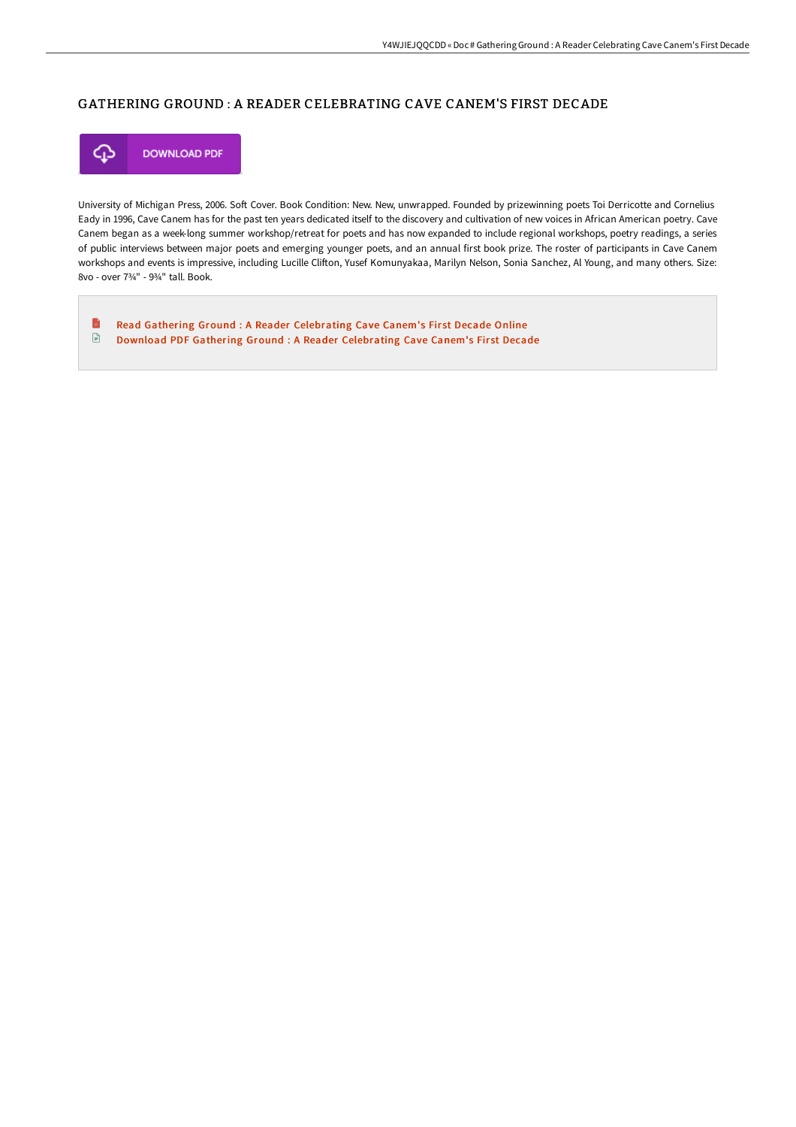### GATHERING GROUND : A READER CELEBRATING CAVE CANEM'S FIRST DECADE



University of Michigan Press, 2006. Soft Cover. Book Condition: New. New, unwrapped. Founded by prizewinning poets Toi Derricotte and Cornelius Eady in 1996, Cave Canem has for the past ten years dedicated itself to the discovery and cultivation of new voices in African American poetry. Cave Canem began as a week-long summer workshop/retreat for poets and has now expanded to include regional workshops, poetry readings, a series of public interviews between major poets and emerging younger poets, and an annual first book prize. The roster of participants in Cave Canem workshops and events is impressive, including Lucille Clifton, Yusef Komunyakaa, Marilyn Nelson, Sonia Sanchez, Al Young, and many others. Size: 8vo - over 7¾" - 9¾" tall. Book.

B Read Gathering Ground : A Reader [Celebrating](http://bookera.tech/gathering-ground-a-reader-celebrating-cave-canem.html) Cave Canem's First Decade Online  $\mathbf{E}$ Download PDF Gathering Ground : A Reader [Celebrating](http://bookera.tech/gathering-ground-a-reader-celebrating-cave-canem.html) Cave Canem's First Decade